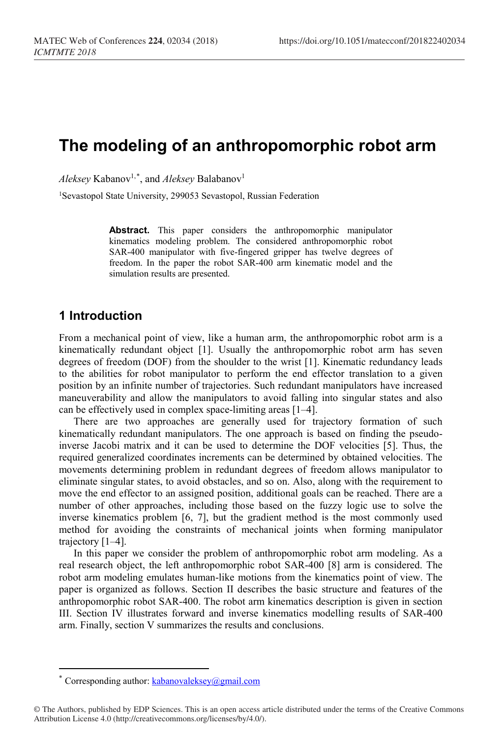# **The modeling of an anthropomorphic robot arm**

*Aleksey* Kabanov1,[\\*](#page-0-0) , and *Aleksey* Balabanov1

<sup>1</sup>Sevastopol State University, 299053 Sevastopol, Russian Federation

**Abstract.** This paper considers the anthropomorphic manipulator kinematics modeling problem. The considered anthropomorphic robot SAR-400 manipulator with five-fingered gripper has twelve degrees of freedom. In the paper the robot SAR-400 arm kinematic model and the simulation results are presented.

#### **1 Introduction**

From a mechanical point of view, like a human arm, the anthropomorphic robot arm is a kinematically redundant object [1]. Usually the anthropomorphic robot arm has seven degrees of freedom (DOF) from the shoulder to the wrist [1]. Kinematic redundancy leads to the abilities for robot manipulator to perform the end effector translation to a given position by an infinite number of trajectories. Such redundant manipulators have increased maneuverability and allow the manipulators to avoid falling into singular states and also can be effectively used in complex space-limiting areas [1–4].

There are two approaches are generally used for trajectory formation of such kinematically redundant manipulators. The one approach is based on finding the pseudoinverse Jacobi matrix and it can be used to determine the DOF velocities [5]. Thus, the required generalized coordinates increments can be determined by obtained velocities. The movements determining problem in redundant degrees of freedom allows manipulator to eliminate singular states, to avoid obstacles, and so on. Also, along with the requirement to move the end effector to an assigned position, additional goals can be reached. There are a number of other approaches, including those based on the fuzzy logic use to solve the inverse kinematics problem [6, 7], but the gradient method is the most commonly used method for avoiding the constraints of mechanical joints when forming manipulator trajectory [1–4].

In this paper we consider the problem of anthropomorphic robot arm modeling. As a real research object, the left anthropomorphic robot SAR-400 [8] arm is considered. The robot arm modeling emulates human-like motions from the kinematics point of view. The paper is organized as follows. Section II describes the basic structure and features of the anthropomorphic robot SAR-400. The robot arm kinematics description is given in section III. Section IV illustrates forward and inverse kinematics modelling results of SAR-400 arm. Finally, section V summarizes the results and conclusions.

 $\overline{a}$ 

Corresponding author:  $kabanovaleksey@gmail.com$ 

<span id="page-0-0"></span><sup>©</sup> The Authors, published by EDP Sciences. This is an open access article distributed under the terms of the Creative Commons Attribution License 4.0 (http://creativecommons.org/licenses/by/4.0/).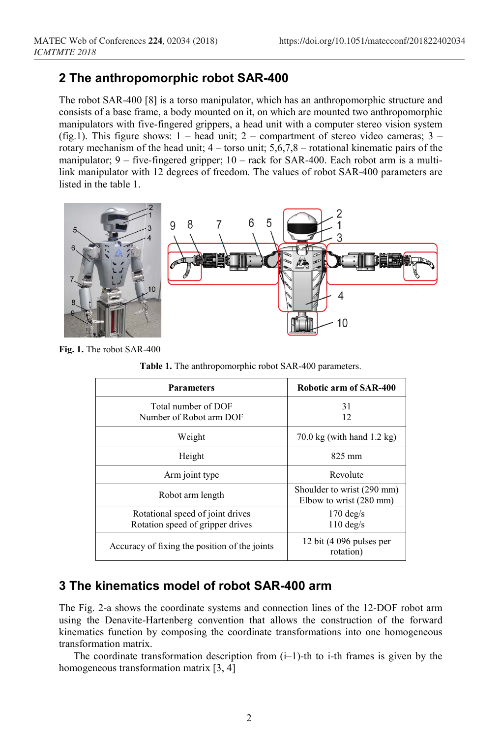# **2 The anthropomorphic robot SAR-400**

The robot SAR-400 [8] is a torso manipulator, which has an anthropomorphic structure and consists of a base frame, a body mounted on it, on which are mounted two anthropomorphic manipulators with five-fingered grippers, a head unit with a computer stereo vision system (fig.1). This figure shows:  $1$  – head unit;  $2$  – compartment of stereo video cameras;  $3$  – rotary mechanism of the head unit;  $4 -$  torso unit;  $5,6,7,8 -$  rotational kinematic pairs of the manipulator;  $9 -$  five-fingered gripper;  $10 -$  rack for SAR-400. Each robot arm is a multilink manipulator with 12 degrees of freedom. The values of robot SAR-400 parameters are listed in the table 1.



**Fig. 1.** The robot SAR-400

**Table 1.** The anthropomorphic robot SAR-400 parameters.

| <b>Parameters</b>                                                    | Robotic arm of SAR-400                                |
|----------------------------------------------------------------------|-------------------------------------------------------|
| Total number of DOF<br>Number of Robot arm DOF                       | 31<br>12                                              |
| Weight                                                               | $70.0 \text{ kg}$ (with hand 1.2 kg)                  |
| Height                                                               | $825 \text{ mm}$                                      |
| Arm joint type                                                       | Revolute                                              |
| Robot arm length                                                     | Shoulder to wrist (290 mm)<br>Elbow to wrist (280 mm) |
| Rotational speed of joint drives<br>Rotation speed of gripper drives | $170 \text{ deg/s}$<br>$110 \text{ deg/s}$            |
| Accuracy of fixing the position of the joints                        | 12 bit (4 096 pulses per<br>rotation)                 |

### **3 The kinematics model of robot SAR-400 arm**

The Fig. 2-a shows the coordinate systems and connection lines of the 12-DOF robot arm using the Denavite-Hartenberg convention that allows the construction of the forward kinematics function by composing the coordinate transformations into one homogeneous transformation matrix.

The coordinate transformation description from  $(i-1)$ -th to i-th frames is given by the homogeneous transformation matrix [3, 4]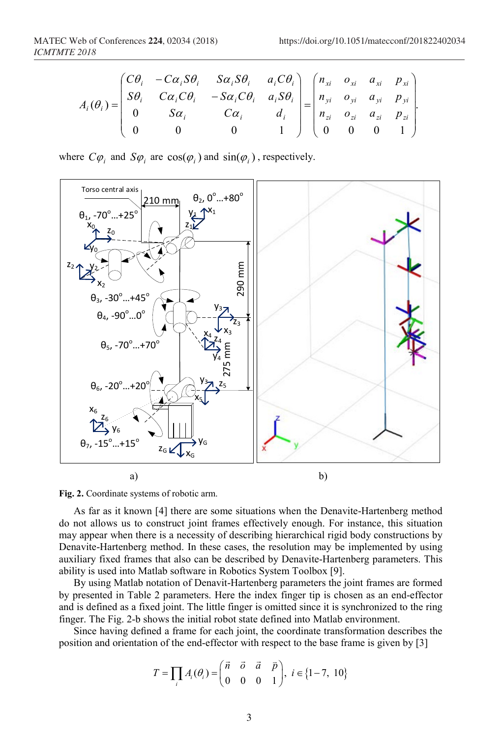.

$$
A_i(\theta_i) = \begin{pmatrix} C\theta_i & -C\alpha_i S\theta_i & S\alpha_i S\theta_i & a_i C\theta_i \\ S\theta_i & C\alpha_i C\theta_i & -S\alpha_i C\theta_i & a_i S\theta_i \\ 0 & S\alpha_i & C\alpha_i & d_i \\ 0 & 0 & 0 & 1 \end{pmatrix} = \begin{pmatrix} n_{xi} & o_{xi} & a_{xi} & p_{xi} \\ n_{yi} & o_{yi} & a_{yi} & p_{yi} \\ n_{zi} & o_{zi} & a_{zi} & p_{zi} \\ 0 & 0 & 0 & 1 \end{pmatrix}
$$

where  $C\varphi_i$  and  $S\varphi_i$  are  $\cos(\varphi_i)$  and  $\sin(\varphi_i)$ , respectively.





As far as it known [4] there are some situations when the Denavite-Hartenberg method do not allows us to construct joint frames effectively enough. For instance, this situation may appear when there is a necessity of describing hierarchical rigid body constructions by Denavite-Hartenberg method. In these cases, the resolution may be implemented by using auxiliary fixed frames that also can be described by Denavite-Hartenberg parameters. This ability is used into Matlab software in Robotics System Toolbox [9].

By using Matlab notation of Denavit-Hartenberg parameters the joint frames are formed by presented in Table 2 parameters. Here the index finger tip is chosen as an end-effector and is defined as a fixed joint. The little finger is omitted since it is synchronized to the ring finger. The Fig. 2-b shows the initial robot state defined into Matlab environment.

Since having defined a frame for each joint, the coordinate transformation describes the position and orientation of the end-effector with respect to the base frame is given by [3]

$$
T = \prod_i A_i(\theta_i) = \begin{pmatrix} \vec{n} & \vec{o} & \vec{a} & \vec{p} \\ 0 & 0 & 0 & 1 \end{pmatrix}, i \in \{1-7, 10\}
$$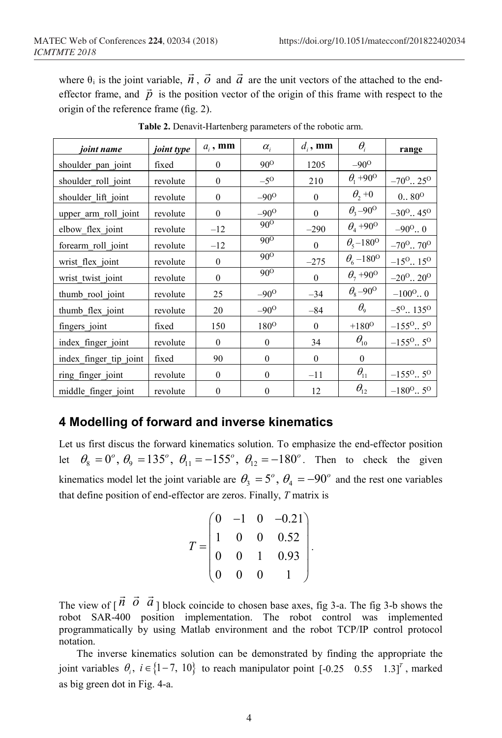where  $\theta_i$  is the joint variable,  $\vec{n}$ ,  $\vec{o}$  and  $\vec{a}$  are the unit vectors of the attached to the endeffector frame, and  $\vec{p}$  is the position vector of the origin of this frame with respect to the origin of the reference frame (fig. 2).

| joint name             | joint type | $a_i$ , mm       | $\alpha_{i}$     | $d_i$ , mm   | $\theta_i$                        | range                                 |
|------------------------|------------|------------------|------------------|--------------|-----------------------------------|---------------------------------------|
| shoulder_pan_joint     | fixed      | $\mathbf{0}$     | $90^{\circ}$     | 1205         | $-90^\circ$                       |                                       |
| shoulder roll joint    | revolute   | $\mathbf{0}$     | $-5^\circ$       | 210          | $\theta_1 + 90^{\circ}$           | $-70^{\circ}$ $\cdot$ 25 <sup>o</sup> |
| shoulder lift joint    | revolute   | $\mathbf{0}$     | $-90^\circ$      | $\theta$     | $\theta$ <sub>2</sub> + 0         | $0., 80^{\circ}$                      |
| upper arm roll joint   | revolute   | $\boldsymbol{0}$ | $-90^\circ$      | $\mathbf{0}$ | $\theta_{3}$ -90 <sup>o</sup>     | $-30^{\circ}$ 45 <sup>o</sup>         |
| elbow flex joint       | revolute   | $-12$            | $90^{\circ}$     | $-290$       | $\theta_4$ +90 <sup>o</sup>       | $-90^{\circ}$ . 0                     |
| forearm roll joint     | revolute   | $-12$            | $90^{\circ}$     | $\theta$     | $\theta_{5} - 180^{\circ}$        | $-70^{\circ}$ $70^{\circ}$            |
| wrist flex joint       | revolute   | $\boldsymbol{0}$ | $90^{\rm o}$     | $-275$       | $\theta_{6}$ –180 <sup>o</sup>    | $-15^{\circ}$ . 15 <sup>o</sup>       |
| wrist twist joint      | revolute   | $\Omega$         | $90^{\circ}$     | $\theta$     | $\theta_{7}$ +90 <sup>o</sup>     | $-20^{\circ}$ 20 <sup>o</sup>         |
| thumb rool joint       | revolute   | 25               | $-90^\circ$      | $-34$        | $\theta_{\rm s}$ -90 <sup>o</sup> | $-100^{\circ}$                        |
| thumb flex joint       | revolute   | 20               | $-90^\circ$      | $-84$        | $\theta_{\rm o}$                  | $-5^{\circ}$ . 135 <sup>o</sup>       |
| fingers_joint          | fixed      | 150              | 180 <sup>o</sup> | $\theta$     | $+180^{\circ}$                    | $-155^{\circ}$ 5 <sup>o</sup>         |
| index finger joint     | revolute   | $\mathbf{0}$     | $\theta$         | 34           | $\theta_{10}$                     | $-155^{\circ}$ 5 <sup>o</sup>         |
| index_finger_tip_joint | fixed      | 90               | $\mathbf{0}$     | $\mathbf{0}$ | $\boldsymbol{0}$                  |                                       |
| ring_finger_joint      | revolute   | $\Omega$         | $\theta$         | $-11$        | $\theta_{11}$                     | $-155^{\circ}$ 5 <sup>o</sup>         |
| middle finger joint    | revolute   | $\boldsymbol{0}$ | $\theta$         | 12           | $\theta_{12}$                     | $-180^{\circ}$ 5 <sup>o</sup>         |

**Table 2.** Denavit-Hartenberg parameters of the robotic arm.

#### **4 Modelling of forward and inverse kinematics**

Let us first discus the forward kinematics solution. To emphasize the end-effector position let  $\theta_8 = 0^\circ$ ,  $\theta_9 = 135^\circ$ ,  $\theta_{11} = -155^\circ$ ,  $\theta_{12} = -180^\circ$ . Then to check the given kinematics model let the joint variable are  $\theta_3 = 5^\circ$ ,  $\theta_4 = -90^\circ$  and the rest one variables that define position of end-effector are zeros. Finally, *T* matrix is

| $\begin{array}{cccc} 0 & -1 & 0 & - \\ 1 & 0 & 0 & \\ 0 & 0 & 1 & \\ 0 & 0 & 0 & \end{array}$<br>$T =$ |  | $-0.21)$ |  |
|--------------------------------------------------------------------------------------------------------|--|----------|--|
|                                                                                                        |  | 0.52     |  |
|                                                                                                        |  | 0.93     |  |
|                                                                                                        |  |          |  |

The view of  $\begin{bmatrix} \vec{n} & \vec{o} & \vec{a} \end{bmatrix}$ ] block coincide to chosen base axes, fig 3-a. The fig 3-b shows the robot SAR-400 position implementation. The robot control was implemented programmatically by using Matlab environment and the robot TCP/IP control protocol notation.

The inverse kinematics solution can be demonstrated by finding the appropriate the joint variables  $\theta_i$ ,  $i \in \{1, -7, 10\}$  to reach manipulator point  $[-0.25 \quad 0.55 \quad 1.3]^T$ , marked as big green dot in Fig. 4-a.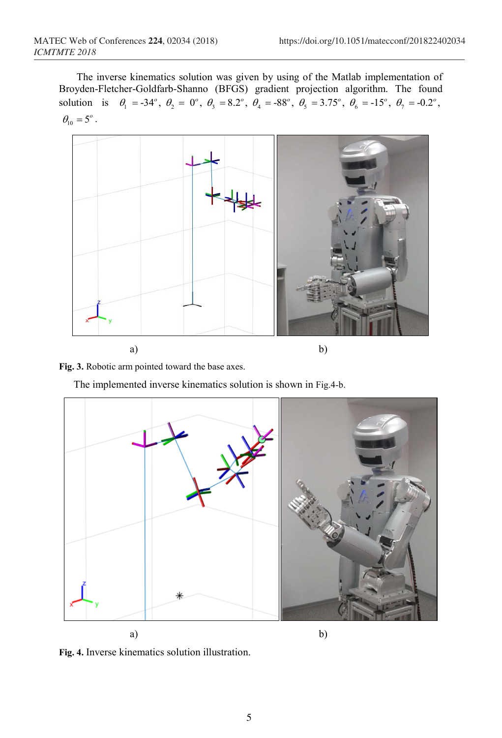The inverse kinematics solution was given by using of the Matlab implementation of Broyden-Fletcher-Goldfarb-Shanno (BFGS) gradient projection algorithm. The found solution is  $\theta_1 = -34^\circ$ ,  $\theta_2 = 0^\circ$ ,  $\theta_3 = 8.2^\circ$ ,  $\theta_4 = -88^\circ$ ,  $\theta_5 = 3.75^\circ$ ,  $\theta_6 = -15^\circ$ ,  $\theta_7 = -0.2^\circ$ ,  $\theta_{10} = 5^{\circ}$ .



**Fig. 3.** Robotic arm pointed toward the base axes.

The implemented inverse kinematics solution is shown in Fig.4-b.



**Fig. 4.** Inverse kinematics solution illustration.